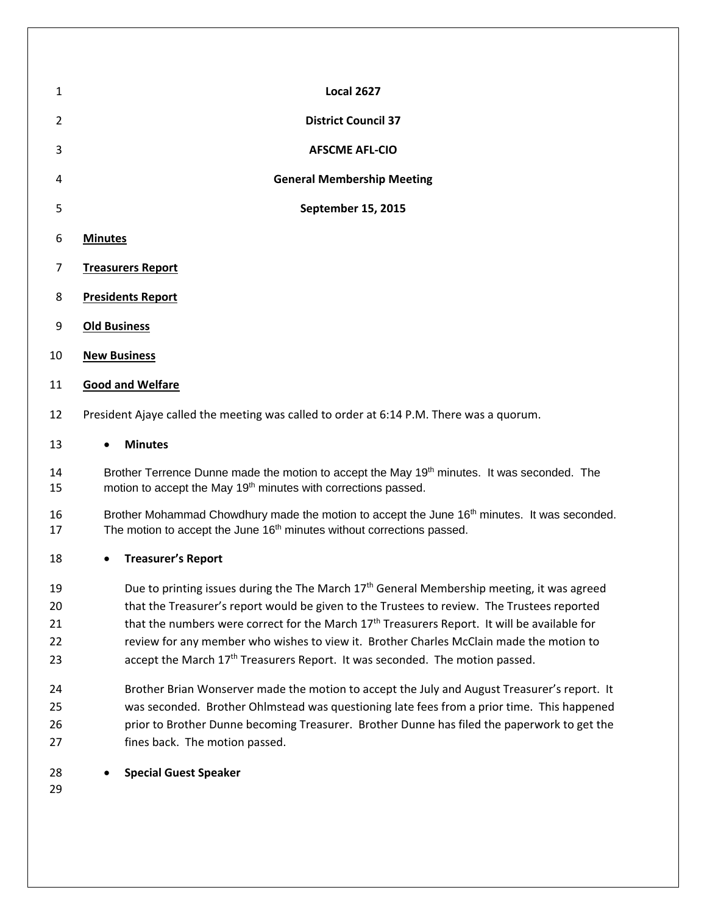| $\mathbf{1}$   | <b>Local 2627</b>                                                                                                                                                         |  |  |
|----------------|---------------------------------------------------------------------------------------------------------------------------------------------------------------------------|--|--|
| $\overline{2}$ | <b>District Council 37</b>                                                                                                                                                |  |  |
| 3              | <b>AFSCME AFL-CIO</b>                                                                                                                                                     |  |  |
| 4              | <b>General Membership Meeting</b>                                                                                                                                         |  |  |
| 5              | September 15, 2015                                                                                                                                                        |  |  |
| 6              | <b>Minutes</b>                                                                                                                                                            |  |  |
| 7              | <b>Treasurers Report</b>                                                                                                                                                  |  |  |
| 8              | <b>Presidents Report</b>                                                                                                                                                  |  |  |
| 9              | <b>Old Business</b>                                                                                                                                                       |  |  |
| 10             | <b>New Business</b>                                                                                                                                                       |  |  |
| 11             | <b>Good and Welfare</b>                                                                                                                                                   |  |  |
| 12             | President Ajaye called the meeting was called to order at 6:14 P.M. There was a quorum.                                                                                   |  |  |
| 13             | <b>Minutes</b><br>$\bullet$                                                                                                                                               |  |  |
| 14<br>15       | Brother Terrence Dunne made the motion to accept the May 19th minutes. It was seconded. The<br>motion to accept the May 19 <sup>th</sup> minutes with corrections passed. |  |  |

16 Brother Mohammad Chowdhury made the motion to accept the June 16<sup>th</sup> minutes. It was seconded. 17 The motion to accept the June 16<sup>th</sup> minutes without corrections passed.

**Treasurer's Report**

19 Due to printing issues during the The March  $17<sup>th</sup>$  General Membership meeting, it was agreed 20 that the Treasurer's report would be given to the Trustees to review. The Trustees reported 21 that the numbers were correct for the March  $17<sup>th</sup>$  Treasurers Report. It will be available for review for any member who wishes to view it. Brother Charles McClain made the motion to 23  $\Gamma$  accept the March  $17<sup>th</sup>$  Treasurers Report. It was seconded. The motion passed.

 Brother Brian Wonserver made the motion to accept the July and August Treasurer's report. It was seconded. Brother Ohlmstead was questioning late fees from a prior time. This happened prior to Brother Dunne becoming Treasurer. Brother Dunne has filed the paperwork to get the fines back. The motion passed.

**Special Guest Speaker**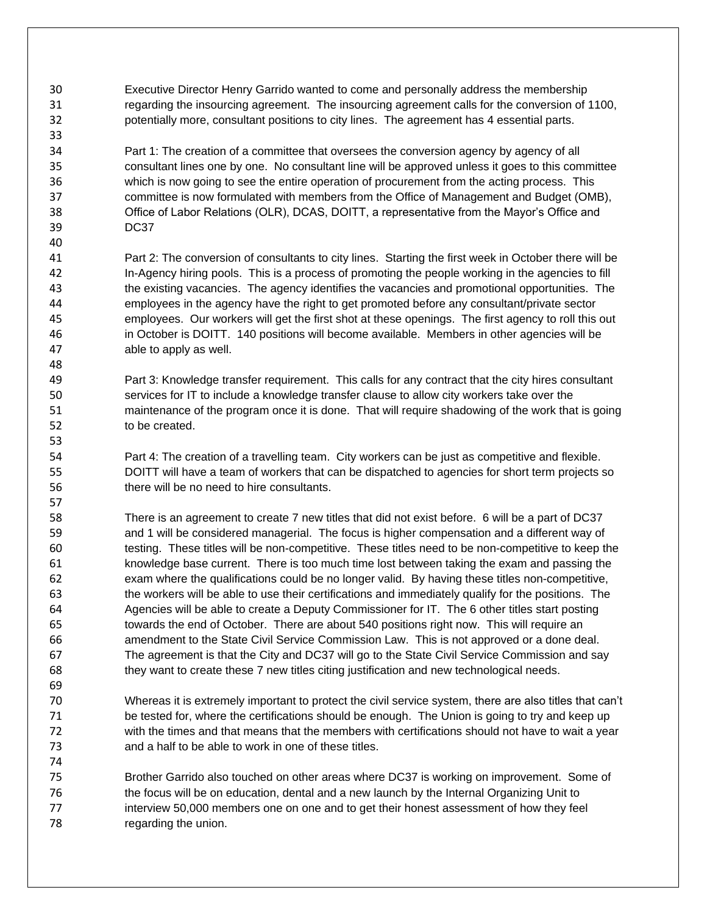Executive Director Henry Garrido wanted to come and personally address the membership regarding the insourcing agreement. The insourcing agreement calls for the conversion of 1100, potentially more, consultant positions to city lines. The agreement has 4 essential parts.

 Part 1: The creation of a committee that oversees the conversion agency by agency of all consultant lines one by one. No consultant line will be approved unless it goes to this committee which is now going to see the entire operation of procurement from the acting process. This committee is now formulated with members from the Office of Management and Budget (OMB), Office of Labor Relations (OLR), DCAS, DOITT, a representative from the Mayor's Office and DC37

- Part 2: The conversion of consultants to city lines. Starting the first week in October there will be In-Agency hiring pools. This is a process of promoting the people working in the agencies to fill the existing vacancies. The agency identifies the vacancies and promotional opportunities. The employees in the agency have the right to get promoted before any consultant/private sector employees. Our workers will get the first shot at these openings. The first agency to roll this out in October is DOITT. 140 positions will become available. Members in other agencies will be able to apply as well.
- Part 3: Knowledge transfer requirement. This calls for any contract that the city hires consultant services for IT to include a knowledge transfer clause to allow city workers take over the maintenance of the program once it is done. That will require shadowing of the work that is going to be created.
- Part 4: The creation of a travelling team. City workers can be just as competitive and flexible. DOITT will have a team of workers that can be dispatched to agencies for short term projects so there will be no need to hire consultants.
- There is an agreement to create 7 new titles that did not exist before. 6 will be a part of DC37 and 1 will be considered managerial. The focus is higher compensation and a different way of testing. These titles will be non-competitive. These titles need to be non-competitive to keep the knowledge base current. There is too much time lost between taking the exam and passing the exam where the qualifications could be no longer valid. By having these titles non-competitive, the workers will be able to use their certifications and immediately qualify for the positions. The Agencies will be able to create a Deputy Commissioner for IT. The 6 other titles start posting towards the end of October. There are about 540 positions right now. This will require an amendment to the State Civil Service Commission Law. This is not approved or a done deal. The agreement is that the City and DC37 will go to the State Civil Service Commission and say they want to create these 7 new titles citing justification and new technological needs.
- Whereas it is extremely important to protect the civil service system, there are also titles that can't be tested for, where the certifications should be enough. The Union is going to try and keep up with the times and that means that the members with certifications should not have to wait a year and a half to be able to work in one of these titles.
- Brother Garrido also touched on other areas where DC37 is working on improvement. Some of the focus will be on education, dental and a new launch by the Internal Organizing Unit to 77 interview 50,000 members one on one and to get their honest assessment of how they feel regarding the union.